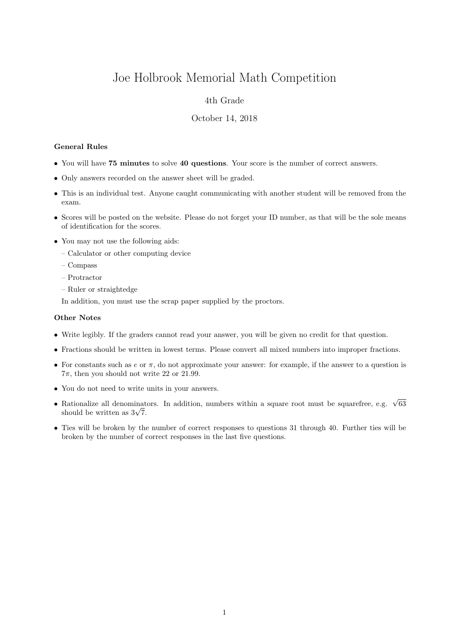# Joe Holbrook Memorial Math Competition

## 4th Grade

### October 14, 2018

#### General Rules

- You will have 75 minutes to solve 40 questions. Your score is the number of correct answers.
- Only answers recorded on the answer sheet will be graded.
- This is an individual test. Anyone caught communicating with another student will be removed from the exam.
- Scores will be posted on the website. Please do not forget your ID number, as that will be the sole means of identification for the scores.
- You may not use the following aids:
	- Calculator or other computing device
	- Compass
	- Protractor
	- Ruler or straightedge

In addition, you must use the scrap paper supplied by the proctors.

#### Other Notes

- Write legibly. If the graders cannot read your answer, you will be given no credit for that question.
- Fractions should be written in lowest terms. Please convert all mixed numbers into improper fractions.
- For constants such as  $e$  or  $\pi$ , do not approximate your answer: for example, if the answer to a question is  $7\pi$ , then you should not write 22 or 21.99.
- You do not need to write units in your answers.
- Rationalize all denominators. In addition, numbers within a square root must be squarefree, e.g.  $\sqrt{63}$  $\kappa$ ationalize all denominat<br>should be written as  $3\sqrt{7}$ .
- Ties will be broken by the number of correct responses to questions 31 through 40. Further ties will be broken by the number of correct responses in the last five questions.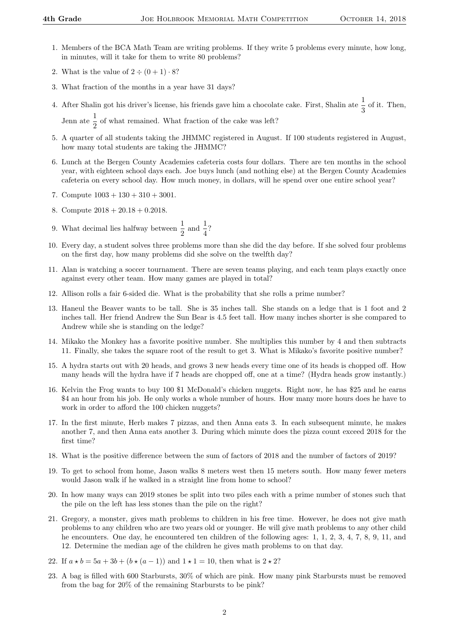- 1. Members of the BCA Math Team are writing problems. If they write 5 problems every minute, how long, in minutes, will it take for them to write 80 problems?
- 2. What is the value of  $2 \div (0 + 1) \cdot 8$ ?
- 3. What fraction of the months in a year have 31 days?
- 4. After Shalin got his driver's license, his friends gave him a chocolate cake. First, Shalin ate  $\frac{1}{3}$  of it. Then, Jenn ate  $\frac{1}{2}$  of what remained. What fraction of the cake was left?
- 5. A quarter of all students taking the JHMMC registered in August. If 100 students registered in August, how many total students are taking the JHMMC?
- 6. Lunch at the Bergen County Academies cafeteria costs four dollars. There are ten months in the school year, with eighteen school days each. Joe buys lunch (and nothing else) at the Bergen County Academies cafeteria on every school day. How much money, in dollars, will he spend over one entire school year?
- 7. Compute  $1003 + 130 + 310 + 3001$ .
- 8. Compute 2018 + 20.18 + 0.2018.
- 9. What decimal lies halfway between  $\frac{1}{2}$  and  $\frac{1}{4}$ ?
- 10. Every day, a student solves three problems more than she did the day before. If she solved four problems on the first day, how many problems did she solve on the twelfth day?
- 11. Alan is watching a soccer tournament. There are seven teams playing, and each team plays exactly once against every other team. How many games are played in total?
- 12. Allison rolls a fair 6-sided die. What is the probability that she rolls a prime number?
- 13. Haneul the Beaver wants to be tall. She is 35 inches tall. She stands on a ledge that is 1 foot and 2 inches tall. Her friend Andrew the Sun Bear is 4.5 feet tall. How many inches shorter is she compared to Andrew while she is standing on the ledge?
- 14. Mikako the Monkey has a favorite positive number. She multiplies this number by 4 and then subtracts 11. Finally, she takes the square root of the result to get 3. What is Mikako's favorite positive number?
- 15. A hydra starts out with 20 heads, and grows 3 new heads every time one of its heads is chopped off. How many heads will the hydra have if 7 heads are chopped off, one at a time? (Hydra heads grow instantly.)
- 16. Kelvin the Frog wants to buy 100 \$1 McDonald's chicken nuggets. Right now, he has \$25 and he earns \$4 an hour from his job. He only works a whole number of hours. How many more hours does he have to work in order to afford the 100 chicken nuggets?
- 17. In the first minute, Herb makes 7 pizzas, and then Anna eats 3. In each subsequent minute, he makes another 7, and then Anna eats another 3. During which minute does the pizza count exceed 2018 for the first time?
- 18. What is the positive difference between the sum of factors of 2018 and the number of factors of 2019?
- 19. To get to school from home, Jason walks 8 meters west then 15 meters south. How many fewer meters would Jason walk if he walked in a straight line from home to school?
- 20. In how many ways can 2019 stones be split into two piles each with a prime number of stones such that the pile on the left has less stones than the pile on the right?
- 21. Gregory, a monster, gives math problems to children in his free time. However, he does not give math problems to any children who are two years old or younger. He will give math problems to any other child he encounters. One day, he encountered ten children of the following ages: 1, 1, 2, 3, 4, 7, 8, 9, 11, and 12. Determine the median age of the children he gives math problems to on that day.
- 22. If  $a * b = 5a + 3b + (b * (a 1))$  and  $1 * 1 = 10$ , then what is  $2 * 2$ ?
- 23. A bag is filled with 600 Starbursts, 30% of which are pink. How many pink Starbursts must be removed from the bag for 20% of the remaining Starbursts to be pink?